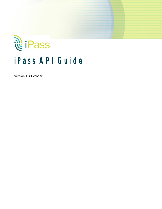# <u>ଲି</u> iPass **iPass API Guide**

Version 1.4 October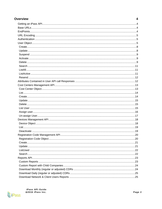| <b>Overview</b>                  | 4   |
|----------------------------------|-----|
|                                  |     |
|                                  |     |
|                                  |     |
|                                  |     |
|                                  |     |
|                                  |     |
|                                  |     |
|                                  |     |
|                                  |     |
|                                  |     |
|                                  |     |
|                                  |     |
|                                  |     |
|                                  |     |
|                                  |     |
|                                  |     |
|                                  |     |
|                                  |     |
|                                  |     |
|                                  |     |
|                                  |     |
|                                  |     |
|                                  |     |
|                                  |     |
|                                  |     |
|                                  |     |
|                                  |     |
|                                  |     |
|                                  |     |
| Registration Code Management API | .20 |
|                                  |     |
|                                  |     |
|                                  |     |
|                                  |     |
|                                  |     |
|                                  |     |
|                                  |     |
|                                  |     |
|                                  |     |
|                                  |     |
|                                  |     |
|                                  |     |

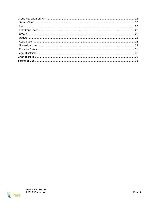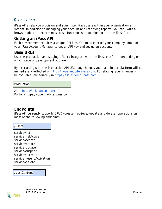# <span id="page-3-0"></span>**Overview**

iPass APIs help you provision and administer iPass users within your organization's system. In addition to managing your account and retrieving reports, you can—with a browser add-on—perform most basic functions without signing into the iPass Portal.

## <span id="page-3-1"></span>**Getting an iPass API**

Each environment requires a unique API key. You must contact your company admin or your iPass Account Manager to get an API key and set up an account.

## <span id="page-3-2"></span>**Base URLs**

Use the production and staging URLs to integrate with the iPass platform, depending on which stage of development you are in.

By interacting with the Production API URL, any changes you make in our platform will be immediately reflected on [https://openmobile.ipass.com.](https://openmobile.ipass.com/) For staging, your changes will be available immediately in [https://salesdemo.ipass.com.](https://salesdemo.ipass.com/)

Production

API - [https://api.ipass.com/v1](https://api.ipass.com/) Portal - https://openmobile.ipass.com

## <span id="page-3-3"></span>**EndPoints**

iPass API currently supports CRUD (create, retrieve, update and delete) operations on most of the following endpoints:

| /users                   |
|--------------------------|
| service=list             |
| service=listActive       |
| service=search           |
| service=create           |
| service=update           |
| service=suspend          |
| service=activate         |
| service=resendActivation |
| service=delete           |

/costCenters



**iPass API Guide** "**2016 iPass Inc. Page 4**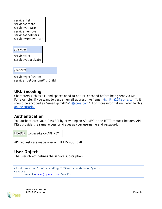service=list service=create service=update service=remove service=addUsers service=removeUsers

/devices

service=list service=deactivate

/reports

service=getCustom service= getCustomWithChild

## <span id="page-4-0"></span>**URL Encoding**

Characters such as "+" and spaces need to be URL-encoded before being sent via API. For example, if you want to pass an email address like "*email=jsmith+12@acme.com*", it should be encoded as "*email=jsmith%2B@acme.com*". For more information, refer to this [online tutorial.](http://www.w3schools.com/tags/ref_urlencode.asp)

## <span id="page-4-1"></span>**Authentication**

You authenticate your iPass API by providing an API KEY in the HTTP request header. API KEYs provide the same access privileges as your username and password.

```
HEADER x-ipass-key: {{API} KEY}}
```
API requests are made over an HTTPS POST call.

<span id="page-4-2"></span>**User Object** The user object defines the service subscription.

```
<?xml version="1.0" encoding="UTF-8" standalone="yes"?>
<endUser>
     <email>auser@ipass.com</email>
```


**iPass API Guide** "**2016 iPass Inc. Page 5**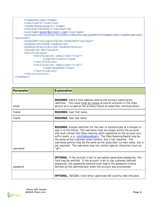```
<fname>Wlliam</fname>
     <isActive>1</isActive>
     <lname>Shakespeare</lname>
      <thorUserId>54321</thorUserId>
     <username>auser@proserv.com</username>
     <acaToken>EbTXsuZVq/Y9+utRxS+70M7wf0x2DCuqfWPDITM7HnBmR2xU8FLnxBPNh1NH/UAZ<
/acaToken>
     <enablePortalLogin>false</enablePortalLogin>
     <endUserId>12345</endUserId>
      <endUserStatus>Active</endUserStatus>
      <locale>en-US</locale>
     <notifications>
           <notification subscribe="true">
                 <type>Activate</type>
           </notification>
            <notification subscribe="true">
                  <type>Suspend</type>
            </notification>
      </notifications>
</endUser>
```

| Parameter | Explanation                                                                                                                                                                                                                                                                                                                                                                                                                                                                                                                                                               |
|-----------|---------------------------------------------------------------------------------------------------------------------------------------------------------------------------------------------------------------------------------------------------------------------------------------------------------------------------------------------------------------------------------------------------------------------------------------------------------------------------------------------------------------------------------------------------------------------------|
| email     | REQUIRED. Valid e-mail address used as the primary subscription<br>identifier. This value must be unique across all accounts in the iPass<br>service as it is used as the primary means of subscriber communication.                                                                                                                                                                                                                                                                                                                                                      |
| fname     | REQUIRED. User first name.                                                                                                                                                                                                                                                                                                                                                                                                                                                                                                                                                |
| Iname     | REQUIRED. User last name.                                                                                                                                                                                                                                                                                                                                                                                                                                                                                                                                                 |
| username  | REQUIRED. Unique identifier for the user to authenticate at a hotspot or<br>sign in to the Portal. The username must be unique within the account<br>and must contain the iPass roaming realm registered to the account as a<br>suffix realm, e.g. jsmith@ipassRealm. The iPass Roaming Realm may be<br>the same as the customer email domain, but is not required. The<br>username portion may be the same as the subscriber's e-mail name, but is<br>not required. The username may not contain special characters (such as<br>$^{\prime\prime}$ @ $^{\prime\prime}$ ). |
| password  | OPTIONAL. If the account is set to use system-generated passwords, this<br>field may be omitted. If the account is set to use customer-defined<br>passwords, the passwords entered must match the password criteria<br>defined by the administrator when the account was provisioned.                                                                                                                                                                                                                                                                                     |
|           | OPTIONAL. ISO3166-1 two-letter uppercase ISO country code indicates                                                                                                                                                                                                                                                                                                                                                                                                                                                                                                       |

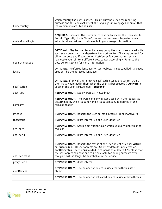| homecountry       | which country the user is based. This is currently used for reporting<br>purpose and this does not affect the languages in webpages or email that<br>iPass communicates to the user.                                                                                                                                                                           |
|-------------------|----------------------------------------------------------------------------------------------------------------------------------------------------------------------------------------------------------------------------------------------------------------------------------------------------------------------------------------------------------------|
| enablePortalLogin | REQUIRED. Indicates the user's authorization to access the Open Mobile<br>Portal. Typically this is "false", unless the user needs to perform any<br>administrative tasks or to retrieve billing and usage information.                                                                                                                                        |
| departmentCode    | OPTIONAL. May be used to indicate any group the user is associated with,<br>such as an organizational department or cost center. This may be used for<br>billing purpose and if you turn on CostCenter feature, our system can<br>reallocate your bill to a different cost center accordingly. Refer to the<br>Cost Center section for more information.       |
| locale            | OPTIONAL. Preferred language for user object. If not supplied, language<br>used will be the detected language.                                                                                                                                                                                                                                                 |
| notification      | OPTIONAL. If any of the following notification typea are set to "true",<br>then iPass would notify them when the user is first created ("Activate")<br>or when the user is suspended ("Suspend")                                                                                                                                                               |
| authType          | RESPONSE ONLY. Set by iPass as "HostedAuth"                                                                                                                                                                                                                                                                                                                    |
| company           | RESPONSE ONLY. The iPass company ID associated with the request as<br>determined by the x-ipass-key and x-ipass-company-id defined in the<br>request header.                                                                                                                                                                                                   |
| isActive          | RESPONSE ONLY. Reports the user object as Active (1) or InActive (0).                                                                                                                                                                                                                                                                                          |
| thorUserId        | RESPONSE ONLY. iPass internal unique user identifier.                                                                                                                                                                                                                                                                                                          |
| acaToken          | RESPONSE ONLY. Service activation token which uniquely identifies the<br>request.                                                                                                                                                                                                                                                                              |
| endUserId         | RESPONSE ONLY. iPass internal unique user identifier.                                                                                                                                                                                                                                                                                                          |
| endUserStatus     | RESPONSE ONLY. Reports the status of the user object as either Active<br>or Suspended. All user objects are Active by default upon creation.<br>endUserStatus is set to Suspended in response to a delete API call so that<br>the user object can continue to be available for billing purposes even<br>though it will no longer be searchable in the service. |
| proxyUserId       | RESPONSE ONLY. iPass internal.                                                                                                                                                                                                                                                                                                                                 |
| numDevices        | RESPONSE ONLY. The number of devices associated with this user<br>object.                                                                                                                                                                                                                                                                                      |
|                   | RESPONSE ONLY. The number of activated devices associated with this                                                                                                                                                                                                                                                                                            |

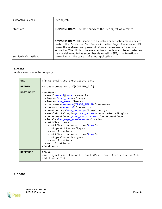| numActiveDevices         | user object.                                                                                                                                                                                                                                                                                                                                                                                                                       |
|--------------------------|------------------------------------------------------------------------------------------------------------------------------------------------------------------------------------------------------------------------------------------------------------------------------------------------------------------------------------------------------------------------------------------------------------------------------------|
| startDate                | RESPONSE ONLY. The date on which the user object was created.                                                                                                                                                                                                                                                                                                                                                                      |
| selfServiceActivationUrl | RESPONSE ONLY. URL specific to a creation or activation request which<br>leads to the iPass-hosted Self-Service Activation Page. The encoded URL<br>passes the acaToken and password information necessary for service<br>activation. The URL is to be executed from the device to be activated and<br>may be delivered to the subscriber via e-mail or SMS, or automatically<br>invoked within the context of a host application. |

## <span id="page-7-0"></span>**Create**

Adds a new user to the company.

| <b>URL</b>      | $({\texttt{BASE_URL}})/{\texttt{users?service}=\texttt{create}}$                                                                                                                                                                                                                                                                                                                                                                                                                                                                                                                                                     |
|-----------------|----------------------------------------------------------------------------------------------------------------------------------------------------------------------------------------------------------------------------------------------------------------------------------------------------------------------------------------------------------------------------------------------------------------------------------------------------------------------------------------------------------------------------------------------------------------------------------------------------------------------|
| <b>HEADER</b>   | x-ipass-company-id: { {COMPANY_ID}}                                                                                                                                                                                                                                                                                                                                                                                                                                                                                                                                                                                  |
| POST BODY       | <enduser><br/><email>email@domain</email><br/><fname>first name</fname><br/><lname>last name</lname><br/><username>username@IPASS REALM</username><br/><password>password</password><br/><homecountry>home country</homecountry><br/><enableportallogin>portal_access</enableportallogin><br/><departmentcode>group_association</departmentcode><br/><locale>language_preference</locale><br/><notifications><br/><notification subscribe="true"><br/><type>Activate</type><br/></notification><br/><notification subscribe="true"><br/><type>Suspend</type><br/></notification><br/></notifications><br/></enduser> |
| <b>RESPONSE</b> | 200 OK<br>user object with the additional iPass identifier <thoruserid><br/>and <enduserid></enduserid></thoruserid>                                                                                                                                                                                                                                                                                                                                                                                                                                                                                                 |

# <span id="page-7-1"></span>**Update**

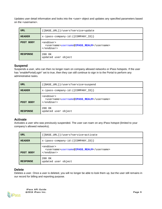Updates user detail information and looks into the <user> object and updates any specified parameters based on the <username>.

| URL             | {{BASE_URL}}/users?service=update                                                                      |
|-----------------|--------------------------------------------------------------------------------------------------------|
| <b>HEADER</b>   | x-ipass-company-id: { {COMPANY_ID}}                                                                    |
| POST BODY       | <enduser><br/><username>username@IPASS REALM</username><br/><math>\langle</math>/endUser&gt;</enduser> |
| <b>RESPONSE</b> | 200 OK<br>updated user object                                                                          |

#### <span id="page-8-0"></span>**Suspend**

Suspends a user, who can then no longer roam on company allowed networks or iPass hotspots. If the user has "*enablePortalLogin*" set to true, then they can still continue to sign in to the Portal to perform any administrative tasks.

| <b>URL</b>      | ${BASE_URL}$ ) /users?service=suspend                                                                  |
|-----------------|--------------------------------------------------------------------------------------------------------|
| <b>HEADER</b>   | x-ipass-company-id: { {COMPANY_ID} }                                                                   |
| POST BODY       | <enduser><br/><username>username@IPASS_REALM</username><br/><math>\langle</math>/endUser&gt;</enduser> |
| <b>RESPONSE</b> | 200 OK<br>updated user object                                                                          |

#### <span id="page-8-1"></span>**Activate**

Activates a user who was previously suspended. The user can roam on any iPass hotspot (limited to your company's allowed networks).

| <b>URL</b>      | $({\texttt{BASE_URL}})/{\texttt{users}}$ ?service=activate                                             |
|-----------------|--------------------------------------------------------------------------------------------------------|
| <b>HEADER</b>   | $x$ -ipass-company-id: $\{ \text{COMPANY\_ID} \}$                                                      |
| POST BODY       | <enduser><br/><username>username@IPASS REALM</username><br/><math>\langle</math>/endUser&gt;</enduser> |
| <b>RESPONSE</b> | 200 OK<br>updated user object                                                                          |

#### <span id="page-8-2"></span>**Delete**

Deletes a user. Once a user is deleted, you will no longer be able to look them up, but the user still remains in our record for billing and reporting purpose.

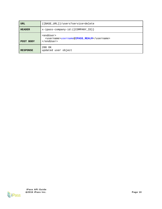| URL             | $({\texttt{BASE_URL}})/{\texttt{users?service=delete}}$                                                |
|-----------------|--------------------------------------------------------------------------------------------------------|
| <b>HEADER</b>   | $x$ -ipass-company-id: $\{ \text{COMPANY\_ID} \}$                                                      |
| POST BODY       | <enduser><br/><username>username@IPASS REALM</username><br/><math>\langle</math>/endUser&gt;</enduser> |
| <b>RESPONSE</b> | 200 OK<br>updated user object                                                                          |

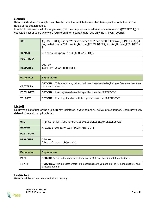#### <span id="page-10-0"></span>**Search**

Returns individual or multiple user objects that either match the search criteria specified or fall within the range of registration dates.

In order to retrieve detail of a single user, put in a complete email address or username as {{CRITERIA}}. If you want a list of users who were registered after a certain date, use only the {{FROM\_DATE}}.

| URL             | $\{ \{ BASE\_URL\} \}$ /users?service=search&searchCriteria= $\{ \{ CRITERIA\} \}$<br>page=1&limit=20&fromRegDate={{FROM_DATE}}&toRegDate={{TO_DATE} |
|-----------------|------------------------------------------------------------------------------------------------------------------------------------------------------|
| <b>HEADER</b>   | $x$ -ipass-company-id: $\{ \text{COMPANY\_ID} \}$                                                                                                    |
| POST BODY       |                                                                                                                                                      |
| <b>RESPONSE</b> | 200 OK<br>list of user object(s)                                                                                                                     |

| <b>Parameter</b> | <b>Explanation</b>                                                                                                            |
|------------------|-------------------------------------------------------------------------------------------------------------------------------|
| CRITERIA         | <b>OPTIONAL.</b> This is any string value. It will match against the beginning of firstname, lastname,<br>email and username. |
| FROM DATE        | <b>OPTIONAL.</b> User registered after this specified date, i.e. MM/DD/YYYY                                                   |
| TO DATE          | <b>OPTIONAL.</b> User registered up until this specified date, i.e. MM/DD/YYYY                                                |

#### <span id="page-10-1"></span>**ListAll**

Retrieves a list of users who are currently registered in your company, active, or suspended. Users previously deleted do not show up in this list.

| URL             | $\{\{BASE_URL\}\}/users? service=listAll\$ |  |  |
|-----------------|--------------------------------------------|--|--|
| <b>HEADER</b>   | x-ipass-company-id: { {COMPANY_ID}}        |  |  |
| POST BODY       |                                            |  |  |
| <b>RESPONSE</b> | 200 OK<br>list of user object(s)           |  |  |

| <b>Parameter</b> | <b>Explanation</b>                                                                                                   |
|------------------|----------------------------------------------------------------------------------------------------------------------|
| PAGE             | <b>REQUIRED.</b> This is the page size. If you specify 20, you'll get up to 20 results back.                         |
| LIMIT            | <b>REQUIRED.</b> This indicates where in the search results you are looking (1 means page 1, and<br>2 means page 2). |

#### <span id="page-10-2"></span>**ListActive**

Returns all the active users with the company.



**iPass API Guide** "**2016 iPass Inc. Page 11**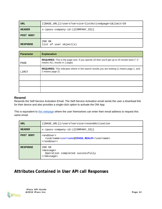| URL             | {{BASE_URL}}/users?service=listActive&page=1&limit=20 |
|-----------------|-------------------------------------------------------|
| <b>HEADER</b>   | $x$ -ipass-company-id: $({\text{COMPANY\_ID}})$       |
| POST BODY       |                                                       |
| <b>RESPONSE</b> | 200 OK<br>list of user object(s)                      |

| <b>Parameter</b> | <b>Explanation</b>                                                                                                              |
|------------------|---------------------------------------------------------------------------------------------------------------------------------|
| PAGE             | REQUIRED. This is the page size. If you specify 20 then you'll get up to 20 results back ("-1"<br>means ALL results in 1 page). |
| LIMIT            | <b>REQUIRED.</b> This indicates where in the search results you are looking (1 means page 1, and<br>2 means page 2).            |
|                  |                                                                                                                                 |
|                  |                                                                                                                                 |
|                  |                                                                                                                                 |

#### <span id="page-11-0"></span>**Resend**

Resends the Self-Service Activation Email. The Self-Service Activation email sends the user a download link for their device and also provides a single-click option to activate the OM App.

This is equivalent to [this webpage](https://openmobile.ipass.com/euservices/activation/#/requestActivationEmail) where the user themselves can enter their email address to request this same email.

| <b>URL</b>      | {{BASE_URL}}/users?service=resendActivation                                                             |  |
|-----------------|---------------------------------------------------------------------------------------------------------|--|
| <b>HEADER</b>   | $x$ -ipass-company-id: $\{ \text{COMPANY\_ID} \}$                                                       |  |
| POST BODY       | <enduser><br/><username>username@IPASS REALM</username><br/><math>\langle</math>/endUser&gt;</enduser>  |  |
| <b>RESPONSE</b> | 200 OK<br><message><br/>Operation completed successfully<br/><math>\langle</math> message&gt;</message> |  |

# <span id="page-11-1"></span>**Attributes Contained in User API call Responses**

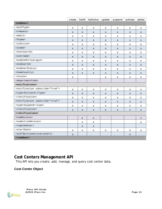|                                                       | create | listAll            | listActive   | update | suspend | activate | delete |
|-------------------------------------------------------|--------|--------------------|--------------|--------|---------|----------|--------|
| <enduser></enduser>                                   |        |                    |              |        |         |          |        |
| <authtype></authtype>                                 | x      | X                  | x            | x      | x       | x        | X      |
| <company></company>                                   | X      | $\mathsf{x}$       | <b>X</b>     | X      | X       | X        | X      |
| $<$ email>                                            | x      | $\pmb{\mathsf{X}}$ | X            | X      | X       | X        | X      |
| $<$ fname $>$                                         | X      | X                  | <b>X</b>     | X      | X       | X        | X      |
| <isactive></isactive>                                 | X      | X                  | X            | X      | X       | X        | X      |
| $1name$                                               | X      | X                  | X            | X      | X       | X        | X      |
| <thoruserid></thoruserid>                             | x      | X                  | X            | x      | x       | x        | X      |
| <username></username>                                 | X      | X                  | <b>X</b>     | X      | X       | X        | X      |
| <enableportallogin></enableportallogin>               | x      | X                  | X            | X      | X       | X        | X      |
| <enduserid></enduserid>                               | X      | X                  | X            | X      | X       | X        | X      |
| <enduserstatus></enduserstatus>                       | X      | x                  | X            | X      | X       | x        | X      |
| <homecountry></homecountry>                           | X      | X                  | X            | X      | X       | X        | X      |
| <locale></locale>                                     | x      |                    |              | X      | X       | X        | X      |
| <departmentcode></departmentcode>                     |        |                    |              |        |         |          |        |
| <notifications></notifications>                       |        |                    |              |        |         |          |        |
| <notification subscribe="true"></notification>        | x      | X                  | X            | x      | X       | X        | X      |
| <type>Activate</type>                                 | X      | $\mathsf{X}$       | X            | X      | X       | X        | X      |
|                                                       | x      | X                  | X            | X      | x       | x        | X      |
| <notification subscribe="true"></notification>        | X      | $\pmb{\mathsf{X}}$ | X            | X      | X       | X        | X      |
| <type>Suspend</type>                                  | X      | $\pmb{\mathsf{X}}$ | X            | x      | X       | X        | X      |
|                                                       | X      | $\mathsf{x}$       | $\mathsf{x}$ | X      | X       | X        | X      |
|                                                       |        |                    |              |        |         |          |        |
| <numdevices></numdevices>                             |        | X                  | X            |        |         |          | X      |
| <numactivedevices></numactivedevices>                 |        | x                  | X            |        |         |          | x      |
| <regcodeuser></regcodeuser>                           |        | X                  | X            |        |         |          |        |
| <startdate></startdate>                               | x      | X                  | X            | x      | X       | X        | X      |
| <selfserviceactivationurl></selfserviceactivationurl> | X      |                    |              |        |         | X        |        |
|                                                       |        |                    |              |        |         |          |        |

# <span id="page-12-0"></span>**Cost Centers Management API**

This API lets you create, add, manage, and query cost center data.

## <span id="page-12-1"></span>**Cost Center Object**



**iPass API Guide** "**2016 iPass Inc. Page 13**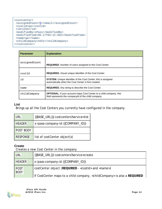```
<costcenter>
<assignedCount>5</email>/assignedCount>
<costid>qa</costid>

<modifiedBy>iPass</modifiedBy>
<modifiedTime>05-17T04:12:46Z</modifiedTime>
<name>qa</name>
<childCompany>4321</childCompany> 
</costcenter>
```

| <b>Parameter</b> | <b>Explanation</b>                                                                                                                 |
|------------------|------------------------------------------------------------------------------------------------------------------------------------|
| assignedCount    | <b>REQUIRED.</b> Number of users assigned to this Cost Center.                                                                     |
| costId           | <b>REQUIRED.</b> Visual unique identifier of the Cost Center.                                                                      |
| id               | <b>SYSTEM.</b> Unique identifier of the Cost Center; this is assigned<br>automatically when the Cost Center is first created.      |
| name             | <b>REQUIRED.</b> Any string to describe the Cost Center.                                                                           |
| childCompany     | <b>OPTIONAL.</b> If your account maps Cost Center to a child company, this<br>field represents the companyld of the child company. |

## <span id="page-13-0"></span>**List**

Brings up all the Cost Centers you currently have configured in the company.

| URL             | {{BASE_URL}}/costcenters?service=list |
|-----------------|---------------------------------------|
| <b>HEADER</b>   | x-ipass-company-id: {{COMPANY_ID}}    |
| POST BODY       |                                       |
| <b>RESPONSE</b> | list of costCenter object(s)          |

## <span id="page-13-1"></span>**Create**

Creates a new Cost Center in the company.

| <b>URL</b>                 | {{BASE_URL}}/costcenters?service=create                                                 |
|----------------------------|-----------------------------------------------------------------------------------------|
| <b>HEADER</b>              | x-ipass-company-id: { {COMPANY_ID}}                                                     |
| <b>POST</b><br><b>BODY</b> | costCenter object (REQUIRED - < costId > and < name >)                                  |
|                            | If CostCenter maps to a child company, <childcompany> is also a REQUIRED</childcompany> |

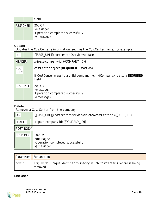|                 | field.                                                                  |
|-----------------|-------------------------------------------------------------------------|
| <b>RESPONSE</b> | 200 OK<br><message><br/>Operation completed successfully<br/></message> |

## <span id="page-14-0"></span>**Update**

Updates the CostCenter's information, such as the CostCenter name, for example.

| <b>URL</b>                 | {{BASE_URL}}/costcenters?service=update                                                                                                        |
|----------------------------|------------------------------------------------------------------------------------------------------------------------------------------------|
| <b>HEADER</b>              | x-ipass-company-id: { {COMPANY_ID}}                                                                                                            |
| <b>POST</b><br><b>BODY</b> | costCenter object (REQUIRED - < costId>)<br>If CostCenter maps to a child company, <childcompany> is also a REQUIRED<br/>field.</childcompany> |
| <b>RESPONSE</b>            | 200 OK<br><message><br/>Operation completed successfully<br/></message>                                                                        |

## <span id="page-14-1"></span>**Delete**

Removes a Cost Center from the company.

| URL             | {{BASE_URL}}/costcenters?service=delete&costCenterId={{COST_ID}}}       |
|-----------------|-------------------------------------------------------------------------|
| <b>HEADER</b>   | x-ipass-company-id: {{COMPANY_ID}}                                      |
| POST BODY       |                                                                         |
| <b>RESPONSE</b> | 200 OK<br><message><br/>Operation completed successfully<br/></message> |

| Parameter | Explanation                                                                           |
|-----------|---------------------------------------------------------------------------------------|
| costId    | REQUIRED. Unique identifier to specify which CostCenter's record is being<br>removed. |

## <span id="page-14-2"></span>**List User**

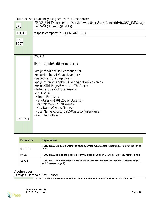Queries users currently assigned to this Cost center.

| <b>URL</b>          | {{BASE_URL}}/costcenters?service==listUsers&costCenterId={{COST_ID}}&page<br>={{ PAGE}}&limit={{LIMIT}}                                                                                                                                                                                                                                                                                                                                                                                                                                 |
|---------------------|-----------------------------------------------------------------------------------------------------------------------------------------------------------------------------------------------------------------------------------------------------------------------------------------------------------------------------------------------------------------------------------------------------------------------------------------------------------------------------------------------------------------------------------------|
| <b>HEADER</b>       | x-ipass-company-id: { {COMPANY_ID}}                                                                                                                                                                                                                                                                                                                                                                                                                                                                                                     |
| POST<br><b>BODY</b> |                                                                                                                                                                                                                                                                                                                                                                                                                                                                                                                                         |
| <b>RESPONSE</b>     | 200 OK<br>list of simple End User object(s)<br><paginatedendusersearchresult><br/><pagenumber>1</pagenumber><br/><pagesize>15</pagesize><br/><paginationsessionid>139</paginationsessionid><br/><resultsthispage>5</resultsthispage><br/><totalresults>5</totalresults><br/><endusers><br/><simpleenduser><br/><enduserid>170112</enduserid><br/><firstname>0</firstname><br/><lastname>0</lastname><br/><username>sbtest_qa10@qatest</username><br/></simpleenduser><br/><math>\cdots</math></endusers></paginatedendusersearchresult> |

| <b>Parameter</b> | <b>Explanation</b>                                                                                            |
|------------------|---------------------------------------------------------------------------------------------------------------|
| COST ID          | REQUIRED. Unique identifier to specify which CostCenter is being queried for the list of<br>users.            |
| PAGE             | REQUIRED. This is the page size. If you specify 20 then you'll get up to 20 results back.                     |
| LIMIT            | REQUIRED. This indicates where in the search results you are looking (1 means page 1,<br>and 2 means page 2). |

### <span id="page-15-0"></span>**Assign user**

Assigns users to a Cost Center.

 ${\sf FIDICE\_HID}$  ))  ${\sf Voot}}$ costcenters?service=addLlears@costCenterId= ${\sf f(COCT\_ID)}$ 



٦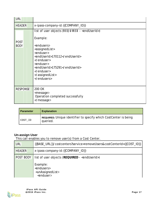| <b>URL</b>                 |                                                                                                                                                                                                                                                                            |
|----------------------------|----------------------------------------------------------------------------------------------------------------------------------------------------------------------------------------------------------------------------------------------------------------------------|
| <b>HEADER</b>              | x-ipass-company-id: { {COMPANY_ID}}                                                                                                                                                                                                                                        |
| <b>POST</b><br><b>BODY</b> | list of user objects (REQUIRED - <enduserid>)<br/>Example:<br/><endusers><br/><assignedlist><br/><enduser><br/><enduserid>170112</enduserid><br/></enduser><br/><enduser><br/><enduserid>175291</enduserid><br/></enduser><br/></assignedlist><br/></endusers></enduserid> |
| <b>RESPONSE</b>            | 200 OK<br><message><br/>Operation completed successfully<br/></message>                                                                                                                                                                                                    |

| <b>Parameter</b> | <b>Explanation</b>                                                                  |
|------------------|-------------------------------------------------------------------------------------|
| COST_ID          | <b>REQUIRED.</b> Unique identifier to specify which CostCenter is being<br>queried. |

## <span id="page-16-0"></span>**Un-assign User**

This call enables you to remove user(s) from a Cost Center.

| <b>URL</b>       | {{BASE_URL}}/costcenters?service=removeUsers&costCenterId={{COST_ID}}                           |
|------------------|-------------------------------------------------------------------------------------------------|
| <b>HEADER</b>    | x-ipass-company-id: { {COMPANY_ID}}                                                             |
| <b>POST BODY</b> | list of user objects (REQUIRED - <enduserid>)</enduserid>                                       |
|                  | Example:<br><endusers><br/><unassignedlist><br/><enduser></enduser></unassignedlist></endusers> |

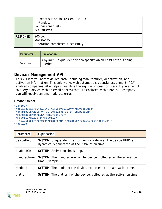|                 | <enduserid>170112</enduserid><br>$\langle$ /enduser><br><br>       |
|-----------------|--------------------------------------------------------------------|
| <b>RESPONSE</b> | 200 OK<br><message><br/>Operation completed successfully</message> |

| <b>Parameter</b> | <b>Explanation</b>                                                           |
|------------------|------------------------------------------------------------------------------|
| COST ID          | REQUIRED. Unique identifier to specify which CostCenter is being<br>queried. |

## <span id="page-17-0"></span>**Devices Management API**

This API lets you access device data, including manufacturer, deactivation, and activation information. This only works with automatic credential assignment (ACA) enabled companies. ACA helps streamline the sign on process for users. If you attempt to query a device with an email address that is associated with a non-ACA company, you will receive an email address error.

## <span id="page-17-1"></span>**Device Object**

```
<device>
 <deviceUuid>cQjZXuLYQ7K1WU6ZVe61yw==</deviceUuid>
 <enabledOn>2015-04-09T20:22:35.907Z</enabledOn>
 <manufacturer>LGE</manufacturer>
 <modelId>Nexus 5</modelId>
   <platform>Android</platform> <<status>registered</status>>>>>>
</device>
```

| Parameter    | Explanation                                                                                                           |
|--------------|-----------------------------------------------------------------------------------------------------------------------|
| deviceUuid   | SYSTEM. Unique identifier to identify a device. The device UUID is<br>dynamically generated at the installation time. |
| enabledOn    | SYSTEM. Activation timestamp.                                                                                         |
| manufacturer | SYSTEM. The manufacturer of the device, collected at the activation<br>time. Example: LGE.                            |
| modelld      | SYSTEM. The model of the device, collected at the activation time.                                                    |
| platform     | SYSTEM. The platform of the device, collected at the activation time.                                                 |

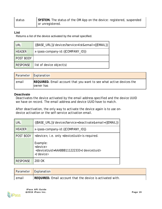| status | SYSTEM. The status of the OM App on the device: registered, suspended<br>or unregistered. |
|--------|-------------------------------------------------------------------------------------------|
|        |                                                                                           |

## <span id="page-18-0"></span>**List**

Returns a list of the device activated by the email specified.

| <b>URL</b>      | {{BASE_URL}}/devices?service=list&email={{EMAIL}}} |
|-----------------|----------------------------------------------------|
| <b>HEADER</b>   | x-ipass-company-id: { {COMPANY_ID}}                |
| POST BODY       |                                                    |
| <b>RESPONSE</b> | list of device object(s)                           |

| Parameter | Explanation                                                                              |
|-----------|------------------------------------------------------------------------------------------|
| email     | <b>REQUIRED.</b> Email account that you want to see what active devices the<br>owner has |

#### <span id="page-18-1"></span>**Deactivate**

Deactivates the device activated by the email address specified and the *device UUID* we have on record. The email address and device UUID have to match.

After deactivation, the only way to activate the device again is to use ondevice activation or the self-service activation email.

| <b>URL</b>      | {{BASE URL}}/devices?service=deactivate&email={{EMAIL}}                                                                                                  |
|-----------------|----------------------------------------------------------------------------------------------------------------------------------------------------------|
| <b>HEADER</b>   | x-ipass-company-id: { {COMPANY_ID}}                                                                                                                      |
| POST BODY       | <device>, i.e. only <deviceuuid> is required.<br/>Example:<br/><device><br/><deviceuuid>AAABBB111222333</deviceuuid><br/></device></deviceuuid></device> |
| <b>RESPONSE</b> | 200 OK                                                                                                                                                   |

| <b>Parameter</b> | Explanation                                                |
|------------------|------------------------------------------------------------|
| email            | REQUIRED. Email account that the device is activated with. |

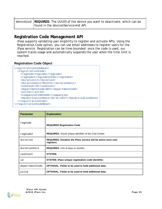| , deviceUuid $\,$ REQUIRED. The UUUID of the device you want to deactivate, which can be |
|------------------------------------------------------------------------------------------|
| found in the devices?service=list API.                                                   |

## <span id="page-19-0"></span>**Registration Code Management API**

iPass supports validating user eligibility to register and activate APIs. Using the Registration Code option, you can use email addresses to register users for the iPass service. Registration can be time-bounded: once the code is used, our system tracks usage and automatically suspends the user when the time limit is reached.

#### <span id="page-19-1"></span>**Registration Code Object**

ï

```
<registrationCodeBean>
  <registrationCode>
   <regCode>regcode</regCode>
    <regCode2>regcode12345</regCode2>
    <duration>2</duration>
    <durationUnit>Months</durationUnit>
    <useCount>0</useCount>
    <departmentCode>DEV</departmentCode>
    <altId></altId>
    <companyId>1001699</companyId>
    <maxActivationDate>10/31/2017</maxActivationDate>
  </registrationCode>
</registrationCodeBean>
```

| <b>Parameter</b> | <b>Explanation</b>                                                          |
|------------------|-----------------------------------------------------------------------------|
| regCode          | <b>REQUIRED Registration Code</b>                                           |
| regCode2         | <b>REQUIRED.</b> Visual unique identifier of the Cost Center.               |
| duration         | REQUIRED. Duration the iPass service will be active once user<br>registers. |
| durationUnit     | <b>REQUIRED.</b> Unit of days or months.                                    |
| useCount         | SYSTEM.                                                                     |
| id               | SYSTEM. iPass unique registration code identifier.                          |
| departmentCode   | <b>OPTIONAL. Fields to be used to hold additional data.</b>                 |
| altId            | <b>OPTIONAL.</b> Fields to be used to hold additional data.                 |

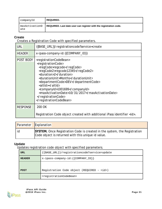| companyId             | <b>REQUIRED.</b>                                                  |
|-----------------------|-------------------------------------------------------------------|
| maxActivationD<br>ate | REQUIRED. Last date user can register with the registration code. |

## <span id="page-20-0"></span>**Create**

Creates a Registration Code with specified parameters.

| <b>URL</b>      | {{BASE_URL}}/registrationcode?service=create}}                                                                                                                                                                                                                                                                                                                                                  |
|-----------------|-------------------------------------------------------------------------------------------------------------------------------------------------------------------------------------------------------------------------------------------------------------------------------------------------------------------------------------------------------------------------------------------------|
| <b>HEADER</b>   | x-ipass-company-id: { {COMPANY_ID}}                                                                                                                                                                                                                                                                                                                                                             |
| POST BODY       | <registrationcodebean><br/><registrationcode><br/><regcode>regcode</regcode><br/><regcode2>regcode12345</regcode2><br/><duration>2</duration><br/><durationunit>Months</durationunit><br/><departmentcode>DEV</departmentcode><br/><altid></altid><br/><companyid>1001699</companyid><br/><maxactivationdate>10/31/2017</maxactivationdate><br/></registrationcode><br/></registrationcodebean> |
| <b>RESPONSE</b> | 200 OK                                                                                                                                                                                                                                                                                                                                                                                          |
|                 | Registration Code object created with additional iPass identifier <id>.</id>                                                                                                                                                                                                                                                                                                                    |

| Parameter | Explanation                                                                                                                     |
|-----------|---------------------------------------------------------------------------------------------------------------------------------|
|           | SYSTEM. Once Registration Code is created in the system, the Registration<br>Code object is returned with this unique id value. |

## <span id="page-20-1"></span>**Update**

Updates registration code object with specified parameters.

| <b>URL</b>    | {{BASE_URL}}/registrationcode?service=update      |
|---------------|---------------------------------------------------|
| <b>HEADER</b> | $x$ -ipass-company-id: $\{ \text{COMPANY\_ID} \}$ |
|               |                                                   |
| <b>POST</b>   | Registration Code object (REQUIRED - <id>)</id>   |
|               | <registrationcodebean></registrationcodebean>     |

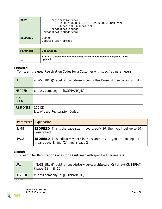| <b>BODY</b>     | <registrationcode><br/><id>DB709598E949491E8722B329BC646B40</id><br/><duration>2</duration><br/></registrationcode><br> |
|-----------------|-------------------------------------------------------------------------------------------------------------------------|
| <b>RESPONSE</b> | 200 OK<br>updated user object                                                                                           |

| I Parameter | <b>Explanation</b>                                                                       |
|-------------|------------------------------------------------------------------------------------------|
| id          | SYSTEM. Unique identifier to specify which registration code object is being<br>updated. |

## <span id="page-21-0"></span>**ListUsed**

To list all the used Registration Codes for a Customer with specified parameters.

| URL                 | {{BASE_URL}}/registrationcode?service=listUsed&used=true&page=1&limit=<br>15 |
|---------------------|------------------------------------------------------------------------------|
| <b>HEADER</b>       | x-ipass-company-id: {{COMPANY_ID}}                                           |
| POST<br><b>BODY</b> |                                                                              |
| <b>RESPONSE</b>     | 200 OK<br>List of used Registration Codes.                                   |

|              | Parameter   Explanation                                                                                         |  |
|--------------|-----------------------------------------------------------------------------------------------------------------|--|
| <b>LIMIT</b> | REQUIRED. This is the page size. If you specify 20, then you'll get up to 20<br>results back.                   |  |
| <b>PAGE</b>  | REQUIRED. This indicates where in the search results you are looking. "1"<br>means page 1, and "2" means page 2 |  |

## <span id="page-21-1"></span>**Search**

To Search for Registration Codes for a Customer with specified parameters.

| URL                      | {{BASE_URL}}/registrationcode?service=search&searchCriteria={{CRITERIA}}<br>&page=1&limit=15 |
|--------------------------|----------------------------------------------------------------------------------------------|
| <b>HEADER</b>            | x-ipass-company-id: { {COMPANY_ID}}                                                          |
| $\overline{\phantom{a}}$ |                                                                                              |

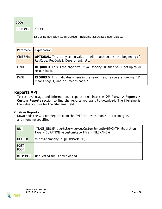| <b>BODY</b>     |                                                                       |
|-----------------|-----------------------------------------------------------------------|
| <b>RESPONSE</b> | 200 OK                                                                |
|                 | List of Registration Code Objects, including associated user objects. |

| Parameter       | Explanation                                                                                                       |  |
|-----------------|-------------------------------------------------------------------------------------------------------------------|--|
| <b>CRITERIA</b> | OPTIONAL. This is any string value. It will match against the beginning of<br>RegCode, RegCode2, Department, etc. |  |
| <b>LIMIT</b>    | REQUIRED. This is the page size. If you specify 20, then you'll get up to 20<br>results back.                     |  |
| PAGE            | REQUIRED. This indicates where in the search results you are looking. "1"<br>means page 1, and "2" means page 2.  |  |

## <span id="page-22-0"></span>**Reports API**

To retrieve usage and informational reports, sign into the **OM Portal > Reports > Custom Reports** section to find the reports you want to download. The filename is the value you use for the *filename* field.

## <span id="page-22-1"></span>**Custom Reports**

Downloads the Custom Reports from the OM Portal with month, duration type, and filename specified.

| URL                        | {{BASE_URL}}/reports?service=getCustom&month={{MONTH}}&duration-<br>type={{DURATION}}&customReportFile={{FILENAME}} |
|----------------------------|---------------------------------------------------------------------------------------------------------------------|
| <b>HEADER</b>              | x-ipass-company-id: { {COMPANY_ID}}                                                                                 |
| <b>POST</b><br><b>BODY</b> |                                                                                                                     |
| <b>RESPONSE</b>            | Requested file is downloaded.                                                                                       |

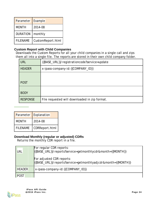| Parameter       | Example           |
|-----------------|-------------------|
| <b>MONTH</b>    | 2014-08           |
| <b>DURATION</b> | monthly           |
| <b>FILENAME</b> | CustomReport.html |

## <span id="page-23-0"></span>**Custom Report with Child Companies**

Downloads the Custom Reports for all your child companies in a single call and zips them all into a single file. The reports are stored in their own child company folder.

| <b>URL</b>      | {{BASE_URL}}/registrationcode?service=update  |
|-----------------|-----------------------------------------------|
| <b>HEADER</b>   | x-ipass-company-id: { {COMPANY_ID}}           |
|                 |                                               |
| <b>POST</b>     |                                               |
| <b>BODY</b>     |                                               |
| <b>RESPONSE</b> | File requested will downloaded in zip format. |
|                 |                                               |

| Parameter       | Explanation    |
|-----------------|----------------|
| <b>MONTH</b>    | 2014-08        |
| <b>FILENAME</b> | CDRReport.html |

**Contract Contract Contract** 

## <span id="page-23-1"></span>**Download Monthly (regular or adjusted) CDRs**

Returns the monthly CDR report in a file.

| URL           | For regular CDR reports:<br>{{BASE_URL}}/reports?service=getmonthlycdr&month={{MONTH}}     |  |
|---------------|--------------------------------------------------------------------------------------------|--|
|               | For adjusted CDR reports:<br>{{BASE_URL}}/reports?service=getmonthlyadjcdr&month={{MONTH}} |  |
| <b>HEADER</b> | x-ipass-company-id: { {COMPANY_ID}}                                                        |  |
| <b>POST</b>   |                                                                                            |  |

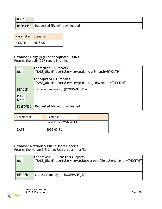| <b>BODY</b>     |                                 |
|-----------------|---------------------------------|
| <b>RESPONSE</b> | Requested file will downloaded. |

| Parameter Example |         |
|-------------------|---------|
| <b>MONTH</b>      | 2016-08 |
|                   |         |

## <span id="page-24-0"></span>**Download Daily (regular or adjusted) CDRs**

Returns the daily CDR report in a file.

| <b>URL</b>                 | For regular CDR reports:<br>{{BASE_URL}}/reports?service=getdailycdr&month={{MONTH}}     |
|----------------------------|------------------------------------------------------------------------------------------|
|                            | For adjusted CDR reports:<br>{{BASE_URL}}/reports?service=getdailyadjcdr&month={{MONTH}} |
| <b>HEADER</b>              | x-ipass-company-id: { {COMPANY_ID}}                                                      |
| <b>POST</b><br><b>BODY</b> |                                                                                          |
| <b>RESPONSE</b>            | Requested file will downloaded.                                                          |

| Parameter | Example            |
|-----------|--------------------|
|           | Format: YYYY-MM-DD |
| DATE      | 2016-07-31         |

## <span id="page-24-1"></span>**Download Network & Client Users Reports**

Returns the Network & Client Users report in a file.

| URL           | For Network & Client Users Reports:<br>{{BASE_URL}}/reports?service=getNetworkAndClientUser&month={{MONTH}}] |
|---------------|--------------------------------------------------------------------------------------------------------------|
| <b>HEADER</b> | x-ipass-company-id: { {COMPANY_ID}}                                                                          |
|               |                                                                                                              |

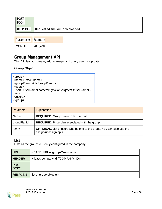| <b>POST</b><br><b>BODY</b> |                                 |
|----------------------------|---------------------------------|
| RESPONSE                   | Requested file will downloaded. |

| Parameter Example |         |
|-------------------|---------|
| <b>MONTH</b>      | 2016-08 |

# <span id="page-25-0"></span>**Group Management API**

This API lets you create, add, manage, and query user group data.

## <span id="page-25-1"></span>**Group Object**

<group> <name>Exec</name> <groupPlanId>21</groupPlanId> <users> <user><userName>somethingxxxx25@qatest</userName></ user> </users> </group>

| Parameter   | <b>Explanation</b>                                                                                    |
|-------------|-------------------------------------------------------------------------------------------------------|
| Name        | <b>REQUIRED.</b> Group name in text format.                                                           |
| groupPlanId | <b>REQUIRED.</b> Price plan associated with the group.                                                |
| users       | <b>OPTIONAL.</b> List of users who belong to the group. You can also use the<br>assign/unassign apis. |

## <span id="page-25-2"></span>**List**

Lists all the groups currently configured in the company.

| <b>URL</b>                 | {{BASE_URL}} /groups?service=list |
|----------------------------|-----------------------------------|
| <b>HEADER</b>              | x-ipass-company-id:{{COMPANY_ID}} |
| <b>POST</b><br><b>BODY</b> |                                   |
| <b>RESPONS</b>             | list of <i>group</i> object(s)    |

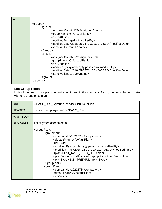| Е |                                                        |
|---|--------------------------------------------------------|
|   | <groups></groups>                                      |
|   | <group></group>                                        |
|   | <assignedcount>128</assignedcount>                     |
|   | <groupplanid>5</groupplanid>                           |
|   | $<$ id $>1040$ $<$ /id $>$                             |
|   | <modifiedby>ngsdp</modifiedby>                         |
|   | <modifieddate>2016-05-04T20:12:10+05:30</modifieddate> |
|   | <name>QA Group1</name>                                 |
|   | $\alpha$ /group>                                       |
|   | <group></group>                                        |
|   | <assignedcount>6</assignedcount>                       |
|   | <groupplanid>5</groupplanid>                           |
|   | $<$ id $>$ 1060 $<$ /id $>$                            |
|   | <modifiedby>symphony@ipass.com</modifiedby>            |
|   | <modifieddate>2016-05-05T11:50:45+05:30</modifieddate> |
|   | <name>Client Group</name>                              |
|   | $\alpha$ /group>                                       |
|   |                                                        |

## <span id="page-26-0"></span>**List Group Plans**

Lists all the group price plans currently configured in the company. Each group must be associated with one group price plan.

| <b>URL</b>      | {{BASE_URL}} /groups?service=listGroupPlan                                                                                                                                                                                                                                                                                                                                                                                                                                                                                                                                                                          |
|-----------------|---------------------------------------------------------------------------------------------------------------------------------------------------------------------------------------------------------------------------------------------------------------------------------------------------------------------------------------------------------------------------------------------------------------------------------------------------------------------------------------------------------------------------------------------------------------------------------------------------------------------|
| <b>HEADER</b>   | x-ipass-company-id:{{COMPANY_ID}}                                                                                                                                                                                                                                                                                                                                                                                                                                                                                                                                                                                   |
| POST BODY       |                                                                                                                                                                                                                                                                                                                                                                                                                                                                                                                                                                                                                     |
| <b>RESPONSE</b> | list of <i>group plan</i> object(s)                                                                                                                                                                                                                                                                                                                                                                                                                                                                                                                                                                                 |
|                 | <groupplans><br/><groupplan><br/><companyid>1022878</companyid><br/><defaultplan>1</defaultplan><br/><math>&lt;</math>id<math>&gt;1</math><math>&lt;</math>/id<math>&gt;</math><br/><modifiedby>symphony@ipass.com</modifiedby><br/><modifiedtime>2016-02-02T12:40:14+05:30</modifiedtime><br/><plan>FLAT_RATE_ULTD_LPT</plan><br/><plandescription>Unlimited Laptop Plan</plandescription><br/><plantype>NON_PREMIUM</plantype><br/></groupplan><br/><groupplan><br/><companyid>1022878</companyid><br/><defaultplan>0</defaultplan><br/><math>&lt;</math>id&gt;5<math>&lt;</math>/id&gt;</groupplan></groupplans> |

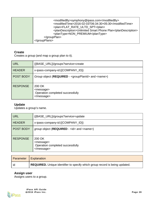| <modifiedby>symphony@ipass.com</modifiedby><br><modifiedtime>2016-02-03T06:34:30+05:30</modifiedtime><br><plan>FLAT_RATE_ULTD_SPT</plan><br><plandescription>Unlimited Smart Phone Plan</plandescription><br><plantype>NON_PREMIUM</plantype><br> |
|---------------------------------------------------------------------------------------------------------------------------------------------------------------------------------------------------------------------------------------------------|
|                                                                                                                                                                                                                                                   |

## <span id="page-27-0"></span>**Create**

Creates a group (and map a group plan to it).

| URL              | {{BASE_URL}}/groups?service=create                                      |
|------------------|-------------------------------------------------------------------------|
| <b>HEADER</b>    | x-ipass-company-id:{{COMPANY_ID}}                                       |
| <b>POST BODY</b> | Group object (REQUIRED - <groupplanid> and <name>)</name></groupplanid> |
| <b>RESPONSE</b>  | 200 OK<br><message><br/>Operation completed successfully<br/></message> |

## <span id="page-27-1"></span>**Update**

Updates a group's name.

| <b>URL</b>      | {{BASE_URL}}/groups?service=update                                      |
|-----------------|-------------------------------------------------------------------------|
| <b>HEADER</b>   | x-ipass-company-id:{{COMPANY_ID}}                                       |
| POST BODY       | group object (REQUIRED - <id> and <name>)</name></id>                   |
| <b>RESPONSE</b> | 200 OK<br><message><br/>Operation completed successfully<br/></message> |

| Parameter | Explanation                                                                 |
|-----------|-----------------------------------------------------------------------------|
| id        | REQUIRED. Unique identifier to specify which group record is being updated. |

## <span id="page-27-2"></span>**Assign user**

Assigns users to a group.

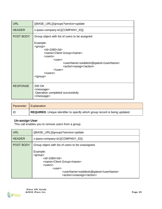| <b>URL</b>      | {{BASE_URL}}/groups?service=update                                                                                                                                                                                                                                                                                                                                                                                                       |  |  |
|-----------------|------------------------------------------------------------------------------------------------------------------------------------------------------------------------------------------------------------------------------------------------------------------------------------------------------------------------------------------------------------------------------------------------------------------------------------------|--|--|
| <b>HEADER</b>   | x-ipass-company-id:{{COMPANY_ID}}                                                                                                                                                                                                                                                                                                                                                                                                        |  |  |
| POST BODY       | Group object with list of users to be assigned<br>Example:<br><group><br/><math>&lt;</math>id<math>&gt;</math>1060<math>&lt;</math>/id<math>&gt;</math><br/><name>Client Group</name><br/><users><br/><math>user</math><br/><username>ssiddesh@qatest</username><br/><action>assign</action><br/><math>\langle</math>/user<math>&gt;</math><br/><math>&lt;</math>/users<math>&gt;</math><br/><math>&lt;</math>/group&gt;</users></group> |  |  |
| <b>RESPONSE</b> | 200 OK<br><message><br/>Operation completed successfully<br/></message>                                                                                                                                                                                                                                                                                                                                                                  |  |  |

| Parameter | Explanation                                                                        |
|-----------|------------------------------------------------------------------------------------|
| l IC      | <b>REQUIRED.</b> Unique identifier to specify which group record is being updated. |

#### <span id="page-28-0"></span>**Un-assign User**

This call enables you to remove users from a group.

| URL              | {{BASE_URL}}/groups?service=update                                                                                                                                                                                                                              |  |  |  |
|------------------|-----------------------------------------------------------------------------------------------------------------------------------------------------------------------------------------------------------------------------------------------------------------|--|--|--|
| <b>HEADER</b>    | x-ipass-company-id:{{COMPANY_ID}}                                                                                                                                                                                                                               |  |  |  |
| <b>POST BODY</b> | Group object with list of users to be unassigned.                                                                                                                                                                                                               |  |  |  |
|                  | Example:<br><group><br/><math>&lt;</math>id<math>&gt;</math>1060<math>&lt;</math>/id<math>&gt;</math><br/><name>Client Group</name><br/><math>users</math><br/><math>user</math><br/><username>ssiddesh@qatest</username><br/><action>unassign</action></group> |  |  |  |

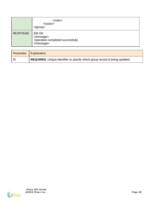|                 | $\langle$ /user $>$<br>$<$ /users $>$<br>$\langle$ group $\rangle$      |
|-----------------|-------------------------------------------------------------------------|
| <b>RESPONSE</b> | 200 OK<br><message><br/>Operation completed successfully<br/></message> |

| Parameter   Explanation |                                                                             |
|-------------------------|-----------------------------------------------------------------------------|
| l ID                    | REQUIRED. Unique identifier to specify which group record is being updated. |

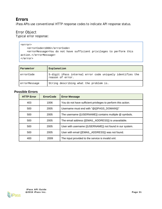## **Errors**

iPass APIs use conventional HTTP response codes to indicate API response status.

## Error Object

Typical error response:

```
<error>
   <errorCode>1006</errorCode>
   <errorMessage>You do not have sufficient privileges to perform this 
action.</errorMessage>
</error>
```

| Parameter    | Explanation                                                                   |  |  |
|--------------|-------------------------------------------------------------------------------|--|--|
| errorCode    | 5-digit iPass internal error code uniquely identifies the<br>reason of error. |  |  |
| errorMessage | String describing what the problem is.                                        |  |  |

#### <span id="page-30-0"></span>**Possible Errors**

| <b>HTTP Error</b> | <b>ErrorCode</b> | <b>Error Message</b>                                          |
|-------------------|------------------|---------------------------------------------------------------|
| 403               | 1006             | You do not have sufficient privileges to perform this action. |
| 500               | 2005             | Username must end with "@{{IPASS DOMAIN}}"                    |
| 500               | 2005             | The username {{USERNAME}} contains multiple @ symbols.        |
| 500               | 2005             | The email address {{EMAIL ADDRESS}} is unavailable.           |
| 500               | 2005             | User with username {{USERNAME}} not found in our system.      |
| 500               | 2005             | User with email {{EMAIL ADDRESS}} was not found.              |
| 400               | 2009             | The input provided to the service is invalid xml.             |